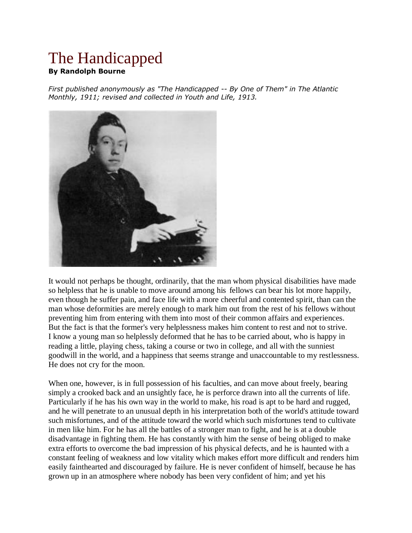# The Handicapped

# **By Randolph Bourne**

*First published anonymously as "The Handicapped -- By One of Them" in The Atlantic Monthly, 1911; revised and collected in Youth and Life, 1913.*



It would not perhaps be thought, ordinarily, that the man whom physical disabilities have made so helpless that he is unable to move around among his fellows can bear his lot more happily, even though he suffer pain, and face life with a more cheerful and contented spirit, than can the man whose deformities are merely enough to mark him out from the rest of his fellows without preventing him from entering with them into most of their common affairs and experiences. But the fact is that the former's very helplessness makes him content to rest and not to strive. I know a young man so helplessly deformed that he has to be carried about, who is happy in reading a little, playing chess, taking a course or two in college, and all with the sunniest goodwill in the world, and a happiness that seems strange and unaccountable to my restlessness. He does not cry for the moon.

When one, however, is in full possession of his faculties, and can move about freely, bearing simply a crooked back and an unsightly face, he is perforce drawn into all the currents of life. Particularly if he has his own way in the world to make, his road is apt to be hard and rugged, and he will penetrate to an unusual depth in his interpretation both of the world's attitude toward such misfortunes, and of the attitude toward the world which such misfortunes tend to cultivate in men like him. For he has all the battles of a stronger man to fight, and he is at a double disadvantage in fighting them. He has constantly with him the sense of being obliged to make extra efforts to overcome the bad impression of his physical defects, and he is haunted with a constant feeling of weakness and low vitality which makes effort more difficult and renders him easily fainthearted and discouraged by failure. He is never confident of himself, because he has grown up in an atmosphere where nobody has been very confident of him; and yet his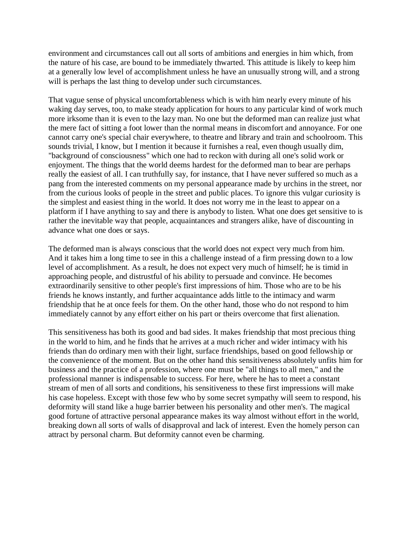environment and circumstances call out all sorts of ambitions and energies in him which, from the nature of his case, are bound to be immediately thwarted. This attitude is likely to keep him at a generally low level of accomplishment unless he have an unusually strong will, and a strong will is perhaps the last thing to develop under such circumstances.

That vague sense of physical uncomfortableness which is with him nearly every minute of his waking day serves, too, to make steady application for hours to any particular kind of work much more irksome than it is even to the lazy man. No one but the deformed man can realize just what the mere fact of sitting a foot lower than the normal means in discomfort and annoyance. For one cannot carry one's special chair everywhere, to theatre and library and train and schoolroom. This sounds trivial, I know, but I mention it because it furnishes a real, even though usually dim, "background of consciousness" which one had to reckon with during all one's solid work or enjoyment. The things that the world deems hardest for the deformed man to bear are perhaps really the easiest of all. I can truthfully say, for instance, that I have never suffered so much as a pang from the interested comments on my personal appearance made by urchins in the street, nor from the curious looks of people in the street and public places. To ignore this vulgar curiosity is the simplest and easiest thing in the world. It does not worry me in the least to appear on a platform if I have anything to say and there is anybody to listen. What one does get sensitive to is rather the inevitable way that people, acquaintances and strangers alike, have of discounting in advance what one does or says.

The deformed man is always conscious that the world does not expect very much from him. And it takes him a long time to see in this a challenge instead of a firm pressing down to a low level of accomplishment. As a result, he does not expect very much of himself; he is timid in approaching people, and distrustful of his ability to persuade and convince. He becomes extraordinarily sensitive to other people's first impressions of him. Those who are to be his friends he knows instantly, and further acquaintance adds little to the intimacy and warm friendship that he at once feels for them. On the other hand, those who do not respond to him immediately cannot by any effort either on his part or theirs overcome that first alienation.

This sensitiveness has both its good and bad sides. It makes friendship that most precious thing in the world to him, and he finds that he arrives at a much richer and wider intimacy with his friends than do ordinary men with their light, surface friendships, based on good fellowship or the convenience of the moment. But on the other hand this sensitiveness absolutely unfits him for business and the practice of a profession, where one must be "all things to all men," and the professional manner is indispensable to success. For here, where he has to meet a constant stream of men of all sorts and conditions, his sensitiveness to these first impressions will make his case hopeless. Except with those few who by some secret sympathy will seem to respond, his deformity will stand like a huge barrier between his personality and other men's. The magical good fortune of attractive personal appearance makes its way almost without effort in the world, breaking down all sorts of walls of disapproval and lack of interest. Even the homely person can attract by personal charm. But deformity cannot even be charming.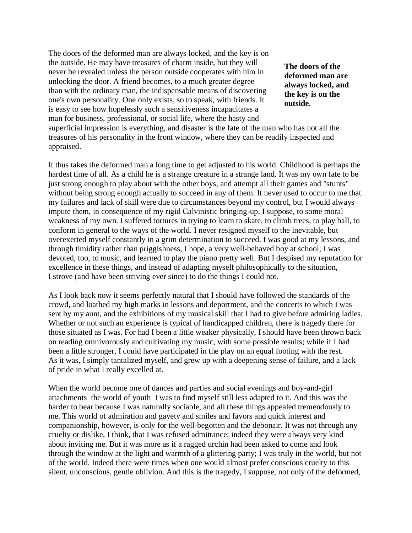The doors of the deformed man are always locked, and the key is on the outside. He may have treasures of charm inside, but they will never be revealed unless the person outside cooperates with him in unlocking the door. A friend becomes, to a much greater degree than with the ordinary man, the indispensable means of discovering one's own personality. One only exists, so to speak, with friends. It is easy to see how hopelessly such a sensitiveness incapacitates a man for business, professional, or social life, where the hasty and

**The doors of the deformed man are always locked, and the key is on the outside.**

superficial impression is everything, and disaster is the fate of the man who has not all the treasures of his personality in the front window, where they can be readily inspected and appraised.

It thus takes the deformed man a long time to get adjusted to his world. Childhood is perhaps the hardest time of all. As a child he is a strange creature in a strange land. It was my own fate to be just strong enough to play about with the other boys, and attempt all their games and "stunts" without being strong enough actually to succeed in any of them. It never used to occur to me that my failures and lack of skill were due to circumstances beyond my control, but I would always impute them, in consequence of my rigid Calvinistic bringing-up, I suppose, to some moral weakness of my own. I suffered tortures in trying to learn to skate, to climb trees, to play ball, to conform in general to the ways of the world. I never resigned myself to the inevitable, but overexerted myself constantly in a grim determination to succeed. I was good at my lessons, and through timidity rather than priggishness, I hope, a very well-behaved boy at school; I was devoted, too, to music, and learned to play the piano pretty well. But I despised my reputation for excellence in these things, and instead of adapting myself philosophically to the situation, I strove (and have been striving ever since) to do the things I could not.

As I look back now it seems perfectly natural that I should have followed the standards of the crowd, and loathed my high marks in lessons and deportment, and the concerts to which I was sent by my aunt, and the exhibitions of my musical skill that I had to give before admiring ladies. Whether or not such an experience is typical of handicapped children, there is tragedy there for those situated as I was. For had I been a little weaker physically, I should have been thrown back on reading omnivorously and cultivating my music, with some possible results; while if I had been a little stronger, I could have participated in the play on an equal footing with the rest. As it was, I simply tantalized myself, and grew up with a deepening sense of failure, and a lack of pride in what I really excelled at.

When the world become one of dances and parties and social evenings and boy-and-girl attachments the world of youth I was to find myself still less adapted to it. And this was the harder to bear because I was naturally sociable, and all these things appealed tremendously to me. This world of admiration and gayety and smiles and favors and quick interest and companionship, however, is only for the well-begotten and the debonair. It was not through any cruelty or dislike, I think, that I was refused admittance; indeed they were always very kind about inviting me. But it was more as if a ragged urchin had been asked to come and look through the window at the light and warmth of a glittering party; I was truly in the world, but not of the world. Indeed there were times when one would almost prefer conscious cruelty to this silent, unconscious, gentle oblivion. And this is the tragedy, I suppose, not only of the deformed,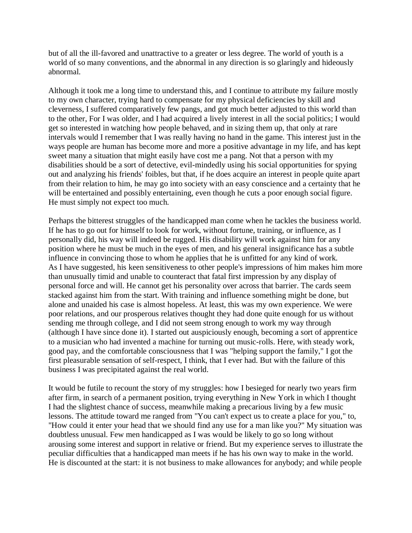but of all the ill-favored and unattractive to a greater or less degree. The world of youth is a world of so many conventions, and the abnormal in any direction is so glaringly and hideously abnormal.

Although it took me a long time to understand this, and I continue to attribute my failure mostly to my own character, trying hard to compensate for my physical deficiencies by skill and cleverness, I suffered comparatively few pangs, and got much better adjusted to this world than to the other, For I was older, and I had acquired a lively interest in all the social politics; I would get so interested in watching how people behaved, and in sizing them up, that only at rare intervals would I remember that I was really having no hand in the game. This interest just in the ways people are human has become more and more a positive advantage in my life, and has kept sweet many a situation that might easily have cost me a pang. Not that a person with my disabilities should be a sort of detective, evil-mindedly using his social opportunities for spying out and analyzing his friends' foibles, but that, if he does acquire an interest in people quite apart from their relation to him, he may go into society with an easy conscience and a certainty that he will be entertained and possibly entertaining, even though he cuts a poor enough social figure. He must simply not expect too much.

Perhaps the bitterest struggles of the handicapped man come when he tackles the business world. If he has to go out for himself to look for work, without fortune, training, or influence, as I personally did, his way will indeed be rugged. His disability will work against him for any position where he must be much in the eyes of men, and his general insignificance has a subtle influence in convincing those to whom he applies that he is unfitted for any kind of work. As I have suggested, his keen sensitiveness to other people's impressions of him makes him more than unusually timid and unable to counteract that fatal first impression by any display of personal force and will. He cannot get his personality over across that barrier. The cards seem stacked against him from the start. With training and influence something might be done, but alone and unaided his case is almost hopeless. At least, this was my own experience. We were poor relations, and our prosperous relatives thought they had done quite enough for us without sending me through college, and I did not seem strong enough to work my way through (although I have since done it). I started out auspiciously enough, becoming a sort of apprentice to a musician who had invented a machine for turning out music-rolls. Here, with steady work, good pay, and the comfortable consciousness that I was "helping support the family," I got the first pleasurable sensation of self-respect, I think, that I ever had. But with the failure of this business I was precipitated against the real world.

It would be futile to recount the story of my struggles: how I besieged for nearly two years firm after firm, in search of a permanent position, trying everything in New York in which I thought I had the slightest chance of success, meanwhile making a precarious living by a few music lessons. The attitude toward me ranged from "You can't expect us to create a place for you," to, "How could it enter your head that we should find any use for a man like you?" My situation was doubtless unusual. Few men handicapped as I was would be likely to go so long without arousing some interest and support in relative or friend. But my experience serves to illustrate the peculiar difficulties that a handicapped man meets if he has his own way to make in the world. He is discounted at the start: it is not business to make allowances for anybody; and while people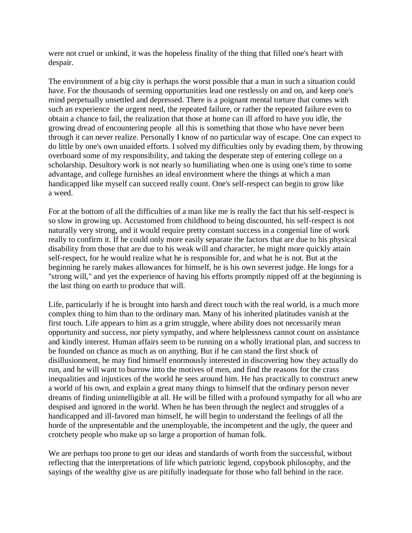were not cruel or unkind, it was the hopeless finality of the thing that filled one's heart with despair.

The environment of a big city is perhaps the worst possible that a man in such a situation could have. For the thousands of seeming opportunities lead one restlessly on and on, and keep one's mind perpetually unsettled and depressed. There is a poignant mental torture that comes with such an experience the urgent need, the repeated failure, or rather the repeated failure even to obtain a chance to fail, the realization that those at home can ill afford to have you idle, the growing dread of encountering people all this is something that those who have never been through it can never realize. Personally I know of no particular way of escape. One can expect to do little by one's own unaided efforts. I solved my difficulties only by evading them, by throwing overboard some of my responsibility, and taking the desperate step of entering college on a scholarship. Desultory work is not nearly so humiliating when one is using one's time to some advantage, and college furnishes an ideal environment where the things at which a man handicapped like myself can succeed really count. One's self-respect can begin to grow like a weed.

For at the bottom of all the difficulties of a man like me is really the fact that his self-respect is so slow in growing up. Accustomed from childhood to being discounted, his self-respect is not naturally very strong, and it would require pretty constant success in a congenial line of work really to confirm it. If he could only more easily separate the factors that are due to his physical disability from those that are due to his weak will and character, he might more quickly attain self-respect, for he would realize what he is responsible for, and what he is not. But at the beginning he rarely makes allowances for himself, he is his own severest judge. He longs for a "strong will," and yet the experience of having his efforts promptly nipped off at the beginning is the last thing on earth to produce that will.

Life, particularly if he is brought into harsh and direct touch with the real world, is a much more complex thing to him than to the ordinary man. Many of his inherited platitudes vanish at the first touch. Life appears to him as a grim struggle, where ability does not necessarily mean opportunity and success, nor piety sympathy, and where helplessness cannot count on assistance and kindly interest. Human affairs seem to be running on a wholly irrational plan, and success to be founded on chance as much as on anything. But if he can stand the first shock of disillusionment, he may find himself enormously interested in discovering how they actually do run, and he will want to burrow into the motives of men, and find the reasons for the crass inequalities and injustices of the world he sees around him. He has practically to construct anew a world of his own, and explain a great many things to himself that the ordinary person never dreams of finding unintelligible at all. He will be filled with a profound sympathy for all who are despised and ignored in the world. When he has been through the neglect and struggles of a handicapped and ill-favored man himself, he will begin to understand the feelings of all the horde of the unpresentable and the unemployable, the incompetent and the ugly, the queer and crotchety people who make up so large a proportion of human folk.

We are perhaps too prone to get our ideas and standards of worth from the successful, without reflecting that the interpretations of life which patriotic legend, copybook philosophy, and the sayings of the wealthy give us are pitifully inadequate for those who fall behind in the race.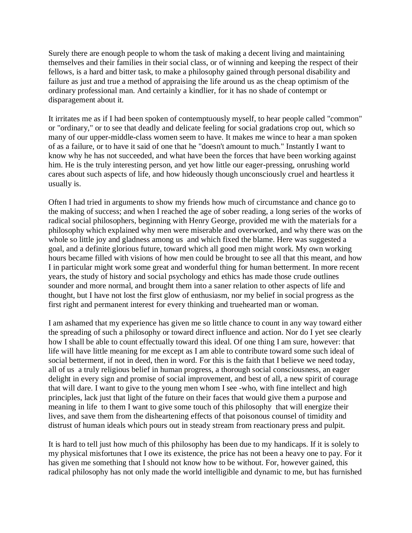Surely there are enough people to whom the task of making a decent living and maintaining themselves and their families in their social class, or of winning and keeping the respect of their fellows, is a hard and bitter task, to make a philosophy gained through personal disability and failure as just and true a method of appraising the life around us as the cheap optimism of the ordinary professional man. And certainly a kindlier, for it has no shade of contempt or disparagement about it.

It irritates me as if I had been spoken of contemptuously myself, to hear people called "common" or "ordinary," or to see that deadly and delicate feeling for social gradations crop out, which so many of our upper-middle-class women seem to have. It makes me wince to hear a man spoken of as a failure, or to have it said of one that he "doesn't amount to much." Instantly I want to know why he has not succeeded, and what have been the forces that have been working against him. He is the truly interesting person, and yet how little our eager-pressing, onrushing world cares about such aspects of life, and how hideously though unconsciously cruel and heartless it usually is.

Often I had tried in arguments to show my friends how much of circumstance and chance go to the making of success; and when I reached the age of sober reading, a long series of the works of radical social philosophers, beginning with Henry George, provided me with the materials for a philosophy which explained why men were miserable and overworked, and why there was on the whole so little joy and gladness among us and which fixed the blame. Here was suggested a goal, and a definite glorious future, toward which all good men might work. My own working hours became filled with visions of how men could be brought to see all that this meant, and how I in particular might work some great and wonderful thing for human betterment. In more recent years, the study of history and social psychology and ethics has made those crude outlines sounder and more normal, and brought them into a saner relation to other aspects of life and thought, but I have not lost the first glow of enthusiasm, nor my belief in social progress as the first right and permanent interest for every thinking and truehearted man or woman.

I am ashamed that my experience has given me so little chance to count in any way toward either the spreading of such a philosophy or toward direct influence and action. Nor do I yet see clearly how I shall be able to count effectually toward this ideal. Of one thing I am sure, however: that life will have little meaning for me except as I am able to contribute toward some such ideal of social betterment, if not in deed, then in word. For this is the faith that I believe we need today, all of us a truly religious belief in human progress, a thorough social consciousness, an eager delight in every sign and promise of social improvement, and best of all, a new spirit of courage that will dare. I want to give to the young men whom I see -who, with fine intellect and high principles, lack just that light of the future on their faces that would give them a purpose and meaning in life to them I want to give some touch of this philosophy that will energize their lives, and save them from the disheartening effects of that poisonous counsel of timidity and distrust of human ideals which pours out in steady stream from reactionary press and pulpit.

It is hard to tell just how much of this philosophy has been due to my handicaps. If it is solely to my physical misfortunes that I owe its existence, the price has not been a heavy one to pay. For it has given me something that I should not know how to be without. For, however gained, this radical philosophy has not only made the world intelligible and dynamic to me, but has furnished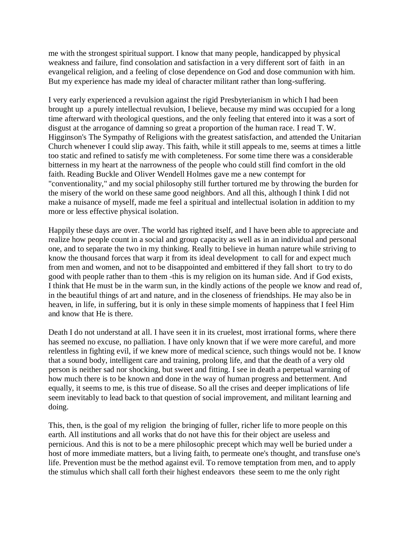me with the strongest spiritual support. I know that many people, handicapped by physical weakness and failure, find consolation and satisfaction in a very different sort of faith in an evangelical religion, and a feeling of close dependence on God and dose communion with him. But my experience has made my ideal of character militant rather than long-suffering.

I very early experienced a revulsion against the rigid Presbyterianism in which I had been brought up a purely intellectual revulsion, I believe, because my mind was occupied for a long time afterward with theological questions, and the only feeling that entered into it was a sort of disgust at the arrogance of damning so great a proportion of the human race. I read T. W. Higginson's The Sympathy of Religions with the greatest satisfaction, and attended the Unitarian Church whenever I could slip away. This faith, while it still appeals to me, seems at times a little too static and refined to satisfy me with completeness. For some time there was a considerable bitterness in my heart at the narrowness of the people who could still find comfort in the old faith. Reading Buckle and Oliver Wendell Holmes gave me a new contempt for "conventionality," and my social philosophy still further tortured me by throwing the burden for the misery of the world on these same good neighbors. And all this, although I think I did not make a nuisance of myself, made me feel a spiritual and intellectual isolation in addition to my more or less effective physical isolation.

Happily these days are over. The world has righted itself, and I have been able to appreciate and realize how people count in a social and group capacity as well as in an individual and personal one, and to separate the two in my thinking. Really to believe in human nature while striving to know the thousand forces that warp it from its ideal development to call for and expect much from men and women, and not to be disappointed and embittered if they fall short to try to do good with people rather than to them -this is my religion on its human side. And if God exists, I think that He must be in the warm sun, in the kindly actions of the people we know and read of, in the beautiful things of art and nature, and in the closeness of friendships. He may also be in heaven, in life, in suffering, but it is only in these simple moments of happiness that I feel Him and know that He is there.

Death I do not understand at all. I have seen it in its cruelest, most irrational forms, where there has seemed no excuse, no palliation. I have only known that if we were more careful, and more relentless in fighting evil, if we knew more of medical science, such things would not be. I know that a sound body, intelligent care and training, prolong life, and that the death of a very old person is neither sad nor shocking, but sweet and fitting. I see in death a perpetual warning of how much there is to be known and done in the way of human progress and betterment. And equally, it seems to me, is this true of disease. So all the crises and deeper implications of life seem inevitably to lead back to that question of social improvement, and militant learning and doing.

This, then, is the goal of my religion the bringing of fuller, richer life to more people on this earth. All institutions and all works that do not have this for their object are useless and pernicious. And this is not to be a mere philosophic precept which may well be buried under a host of more immediate matters, but a living faith, to permeate one's thought, and transfuse one's life. Prevention must be the method against evil. To remove temptation from men, and to apply the stimulus which shall call forth their highest endeavors these seem to me the only right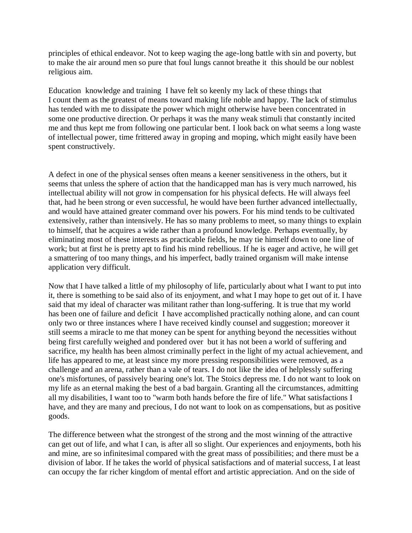principles of ethical endeavor. Not to keep waging the age-long battle with sin and poverty, but to make the air around men so pure that foul lungs cannot breathe it this should be our noblest religious aim.

Education knowledge and training I have felt so keenly my lack of these things that I count them as the greatest of means toward making life noble and happy. The lack of stimulus has tended with me to dissipate the power which might otherwise have been concentrated in some one productive direction. Or perhaps it was the many weak stimuli that constantly incited me and thus kept me from following one particular bent. I look back on what seems a long waste of intellectual power, time frittered away in groping and moping, which might easily have been spent constructively.

A defect in one of the physical senses often means a keener sensitiveness in the others, but it seems that unless the sphere of action that the handicapped man has is very much narrowed, his intellectual ability will not grow in compensation for his physical defects. He will always feel that, had he been strong or even successful, he would have been further advanced intellectually, and would have attained greater command over his powers. For his mind tends to be cultivated extensively, rather than intensively. He has so many problems to meet, so many things to explain to himself, that he acquires a wide rather than a profound knowledge. Perhaps eventually, by eliminating most of these interests as practicable fields, he may tie himself down to one line of work; but at first he is pretty apt to find his mind rebellious. If he is eager and active, he will get a smattering of too many things, and his imperfect, badly trained organism will make intense application very difficult.

Now that I have talked a little of my philosophy of life, particularly about what I want to put into it, there is something to be said also of its enjoyment, and what I may hope to get out of it. I have said that my ideal of character was militant rather than long-suffering. It is true that my world has been one of failure and deficit I have accomplished practically nothing alone, and can count only two or three instances where I have received kindly counsel and suggestion; moreover it still seems a miracle to me that money can be spent for anything beyond the necessities without being first carefully weighed and pondered over but it has not been a world of suffering and sacrifice, my health has been almost criminally perfect in the light of my actual achievement, and life has appeared to me, at least since my more pressing responsibilities were removed, as a challenge and an arena, rather than a vale of tears. I do not like the idea of helplessly suffering one's misfortunes, of passively bearing one's lot. The Stoics depress me. I do not want to look on my life as an eternal making the best of a bad bargain. Granting all the circumstances, admitting all my disabilities, I want too to "warm both hands before the fire of life." What satisfactions I have, and they are many and precious, I do not want to look on as compensations, but as positive goods.

The difference between what the strongest of the strong and the most winning of the attractive can get out of life, and what I can, is after all so slight. Our experiences and enjoyments, both his and mine, are so infinitesimal compared with the great mass of possibilities; and there must be a division of labor. If he takes the world of physical satisfactions and of material success, I at least can occupy the far richer kingdom of mental effort and artistic appreciation. And on the side of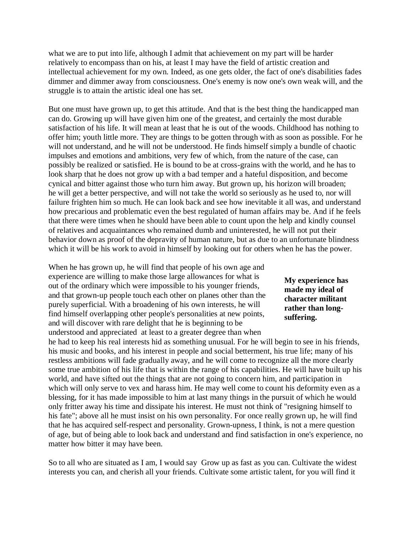what we are to put into life, although I admit that achievement on my part will be harder relatively to encompass than on his, at least I may have the field of artistic creation and intellectual achievement for my own. Indeed, as one gets older, the fact of one's disabilities fades dimmer and dimmer away from consciousness. One's enemy is now one's own weak will, and the struggle is to attain the artistic ideal one has set.

But one must have grown up, to get this attitude. And that is the best thing the handicapped man can do. Growing up will have given him one of the greatest, and certainly the most durable satisfaction of his life. It will mean at least that he is out of the woods. Childhood has nothing to offer him; youth little more. They are things to be gotten through with as soon as possible. For he will not understand, and he will not be understood. He finds himself simply a bundle of chaotic impulses and emotions and ambitions, very few of which, from the nature of the case, can possibly be realized or satisfied. He is bound to be at cross-grains with the world, and he has to look sharp that he does not grow up with a bad temper and a hateful disposition, and become cynical and bitter against those who turn him away. But grown up, his horizon will broaden; he will get a better perspective, and will not take the world so seriously as he used to, nor will failure frighten him so much. He can look back and see how inevitable it all was, and understand how precarious and problematic even the best regulated of human affairs may be. And if he feels that there were times when he should have been able to count upon the help and kindly counsel of relatives and acquaintances who remained dumb and uninterested, he will not put their behavior down as proof of the depravity of human nature, but as due to an unfortunate blindness which it will be his work to avoid in himself by looking out for others when he has the power.

When he has grown up, he will find that people of his own age and experience are willing to make those large allowances for what is out of the ordinary which were impossible to his younger friends, and that grown-up people touch each other on planes other than the purely superficial. With a broadening of his own interests, he will find himself overlapping other people's personalities at new points, and will discover with rare delight that he is beginning to be understood and appreciated at least to a greater degree than when

**My experience has made my ideal of character militant rather than longsuffering.**

he had to keep his real interests hid as something unusual. For he will begin to see in his friends, his music and books, and his interest in people and social betterment, his true life; many of his restless ambitions will fade gradually away, and he will come to recognize all the more clearly some true ambition of his life that is within the range of his capabilities. He will have built up his world, and have sifted out the things that are not going to concern him, and participation in which will only serve to vex and harass him. He may well come to count his deformity even as a blessing, for it has made impossible to him at last many things in the pursuit of which he would only fritter away his time and dissipate his interest. He must not think of "resigning himself to his fate"; above all he must insist on his own personality. For once really grown up, he will find that he has acquired self-respect and personality. Grown-upness, I think, is not a mere question of age, but of being able to look back and understand and find satisfaction in one's experience, no matter how bitter it may have been.

So to all who are situated as I am, I would say Grow up as fast as you can. Cultivate the widest interests you can, and cherish all your friends. Cultivate some artistic talent, for you will find it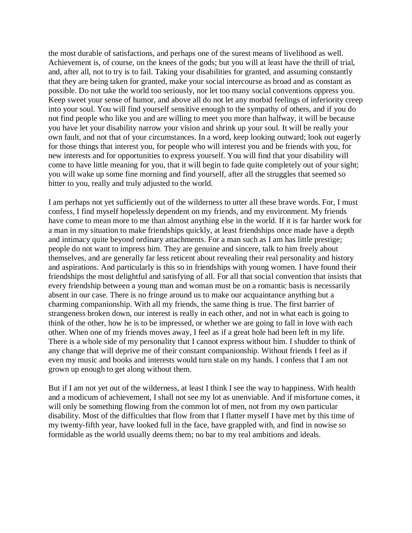the most durable of satisfactions, and perhaps one of the surest means of livelihood as well. Achievement is, of course, on the knees of the gods; but you will at least have the thrill of trial, and, after all, not to try is to fail. Taking your disabilities for granted, and assuming constantly that they are being taken for granted, make your social intercourse as broad and as constant as possible. Do not take the world too seriously, nor let too many social conventions oppress you. Keep sweet your sense of humor, and above all do not let any morbid feelings of inferiority creep into your soul. You will find yourself sensitive enough to the sympathy of others, and if you do not find people who like you and are willing to meet you more than halfway, it will be because you have let your disability narrow your vision and shrink up your soul. It will be really your own fault, and not that of your circumstances. In a word, keep looking outward; look out eagerly for those things that interest you, for people who will interest you and be friends with you, for new interests and for opportunities to express yourself. You will find that your disability will come to have little meaning for you, that it will begin to fade quite completely out of your sight; you will wake up some fine morning and find yourself, after all the struggles that seemed so bitter to you, really and truly adjusted to the world.

I am perhaps not yet sufficiently out of the wilderness to utter all these brave words. For, I must confess, I find myself hopelessly dependent on my friends, and my environment. My friends have come to mean more to me than almost anything else in the world. If it is far harder work for a man in my situation to make friendships quickly, at least friendships once made have a depth and intimacy quite beyond ordinary attachments. For a man such as I am has little prestige; people do not want to impress him. They are genuine and sincere, talk to him freely about themselves, and are generally far less reticent about revealing their real personality and history and aspirations. And particularly is this so in friendships with young women. I have found their friendships the most delightful and satisfying of all. For all that social convention that insists that every friendship between a young man and woman must be on a romantic basis is necessarily absent in our case. There is no fringe around us to make our acquaintance anything but a charming companionship. With all my friends, the same thing is true. The first barrier of strangeness broken down, our interest is really in each other, and not in what each is going to think of the other, how he is to be impressed, or whether we are going to fall in love with each other. When one of my friends moves away, I feel as if a great hole had been left in my life. There is a whole side of my personality that I cannot express without him. I shudder to think of any change that will deprive me of their constant companionship. Without friends I feel as if even my music and books and interests would turn stale on my hands. I confess that I am not grown up enough to get along without them.

But if I am not yet out of the wilderness, at least I think I see the way to happiness. With health and a modicum of achievement, I shall not see my lot as unenviable. And if misfortune comes, it will only be something flowing from the common lot of men, not from my own particular disability. Most of the difficulties that flow from that I flatter myself I have met by this time of my twenty-fifth year, have looked full in the face, have grappled with, and find in nowise so formidable as the world usually deems them; no bar to my real ambitions and ideals.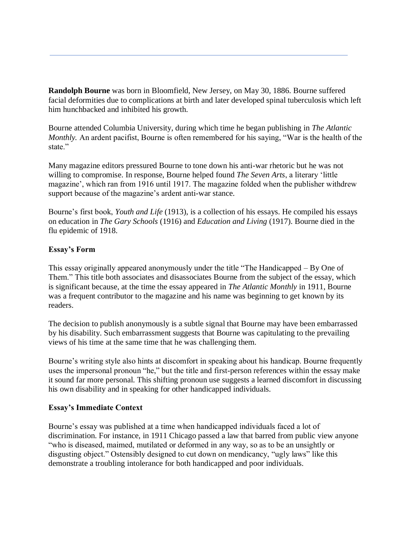**Randolph Bourne** was born in Bloomfield, New Jersey, on May 30, 1886. Bourne suffered facial deformities due to complications at birth and later developed spinal tuberculosis which left him hunchbacked and inhibited his growth.

Bourne attended Columbia University, during which time he began publishing in *The Atlantic Monthly.* An ardent pacifist, Bourne is often remembered for his saying, "War is the health of the state."

Many magazine editors pressured Bourne to tone down his anti-war rhetoric but he was not willing to compromise. In response, Bourne helped found *The Seven Arts*, a literary 'little magazine', which ran from 1916 until 1917. The magazine folded when the publisher withdrew support because of the magazine's ardent anti-war stance.

Bourne's first book, *Youth and Life* (1913), is a collection of his essays. He compiled his essays on education in *The Gary Schools* (1916) and *Education and Living* (1917). Bourne died in the flu epidemic of 1918.

## **Essay's Form**

This essay originally appeared anonymously under the title "The Handicapped – By One of Them." This title both associates and disassociates Bourne from the subject of the essay, which is significant because, at the time the essay appeared in *The Atlantic Monthly* in 1911, Bourne was a frequent contributor to the magazine and his name was beginning to get known by its readers.

The decision to publish anonymously is a subtle signal that Bourne may have been embarrassed by his disability. Such embarrassment suggests that Bourne was capitulating to the prevailing views of his time at the same time that he was challenging them.

Bourne's writing style also hints at discomfort in speaking about his handicap. Bourne frequently uses the impersonal pronoun "he," but the title and first-person references within the essay make it sound far more personal. This shifting pronoun use suggests a learned discomfort in discussing his own disability and in speaking for other handicapped individuals.

#### **Essay's Immediate Context**

Bourne's essay was published at a time when handicapped individuals faced a lot of discrimination. For instance, in 1911 Chicago passed a law that barred from public view anyone "who is diseased, maimed, mutilated or deformed in any way, so as to be an unsightly or disgusting object." Ostensibly designed to cut down on mendicancy, "ugly laws" like this demonstrate a troubling intolerance for both handicapped and poor individuals.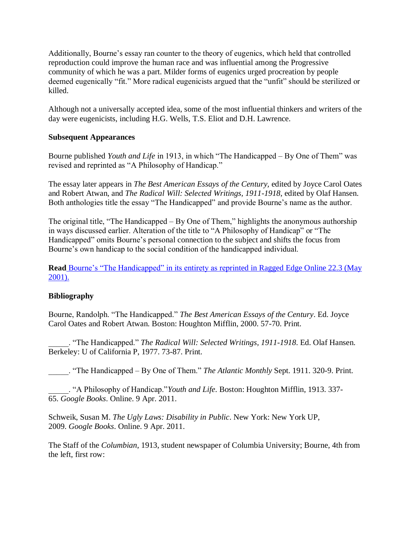Additionally, Bourne's essay ran counter to the theory of eugenics, which held that controlled reproduction could improve the human race and was influential among the Progressive community of which he was a part. Milder forms of eugenics urged procreation by people deemed eugenically "fit." More radical eugenicists argued that the "unfit" should be sterilized or killed.

Although not a universally accepted idea, some of the most influential thinkers and writers of the day were eugenicists, including H.G. Wells, T.S. Eliot and D.H. Lawrence.

## **Subsequent Appearances**

Bourne published *Youth and Life* in 1913, in which "The Handicapped – By One of Them" was revised and reprinted as "A Philosophy of Handicap."

The essay later appears in *The Best American Essays of the Century,* edited by Joyce Carol Oates and Robert Atwan, and *The Radical Will: Selected Writings, 1911-1918*, edited by Olaf Hansen. Both anthologies title the essay "The Handicapped" and provide Bourne's name as the author.

The original title, "The Handicapped – By One of Them," highlights the anonymous authorship in ways discussed earlier. Alteration of the title to "A Philosophy of Handicap" or "The Handicapped" omits Bourne's personal connection to the subject and shifts the focus from Bourne's own handicap to the social condition of the handicapped individual.

**Read** [Bourne's "The Handicapped" in its entirety as reprinted in Ragged Edge Online 22.3 \(May](http://www.ragged-edge-mag.com/0501/0501ft2-1.htm)  [2001\).](http://www.ragged-edge-mag.com/0501/0501ft2-1.htm)

## **Bibliography**

Bourne, Randolph. "The Handicapped." *The Best American Essays of the Century*. Ed. Joyce Carol Oates and Robert Atwan. Boston: Houghton Mifflin, 2000. 57-70. Print.

\_\_\_\_\_. "The Handicapped." *The Radical Will: Selected Writings, 1911-1918*. Ed. Olaf Hansen. Berkeley: U of California P, 1977. 73-87. Print.

\_\_\_\_\_. "The Handicapped – By One of Them." *The Atlantic Monthly* Sept. 1911. 320-9. Print.

\_\_\_\_\_. "A Philosophy of Handicap."*Youth and Life*. Boston: Houghton Mifflin, 1913. 337- 65. *Google Books*. Online. 9 Apr. 2011.

Schweik, Susan M. *The Ugly Laws: Disability in Public*. New York: New York UP, 2009. *Google Books*. Online. 9 Apr. 2011.

The Staff of the *Columbian*, 1913, student newspaper of Columbia University; Bourne, 4th from the left, first row: